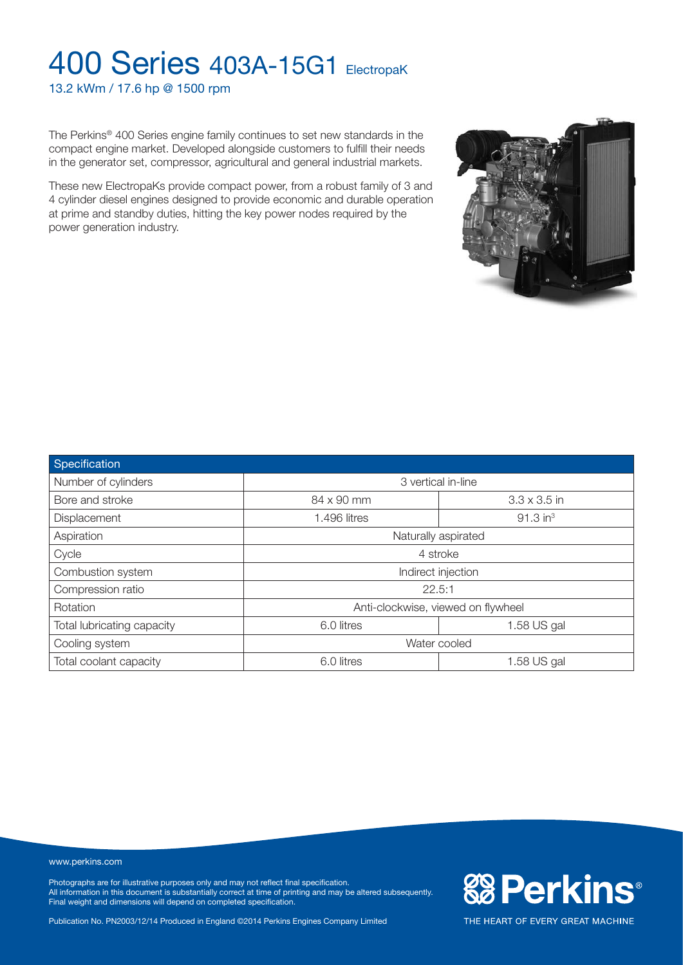13.2 kWm / 17.6 hp @ 1500 rpm

The Perkins® 400 Series engine family continues to set new standards in the compact engine market. Developed alongside customers to fulfill their needs in the generator set, compressor, agricultural and general industrial markets.

These new ElectropaKs provide compact power, from a robust family of 3 and 4 cylinder diesel engines designed to provide economic and durable operation at prime and standby duties, hitting the key power nodes required by the power generation industry.

**Specification** Number of cylinders **3** vertical in-line Bore and stroke 84 x 90 mm 3.3 x 3.5 in Displacement 1.496 litres 1.496 litres 1.496 litres 1.496 litres 1.496 litres 1.496 litres Aspiration **Naturally aspirated Naturally aspirated Naturally aspirated Naturally aspirated** Cycle 4 stroke Combustion system **Indirect injection** Indirect injection Compression ratio 22.5:1 Rotation **Anti-clockwise, viewed on flywheel** Total lubricating capacity **1.58** US gal Cooling system Water cooled Total coolant capacity Total coolant capacity and the set of the coolant capacity of the set of the set of the cool itres to the set of the set of the set of the set of the set of the set of the set of the set of the set o

#### www.perkins.com

Photographs are for illustrative purposes only and may not reflect final specification. All information in this document is substantially correct at time of printing and may be altered subsequently. Final weight and dimensions will depend on completed specification.

Publication No. PN2003/12/14 Produced in England ©2014 Perkins Engines Company Limited



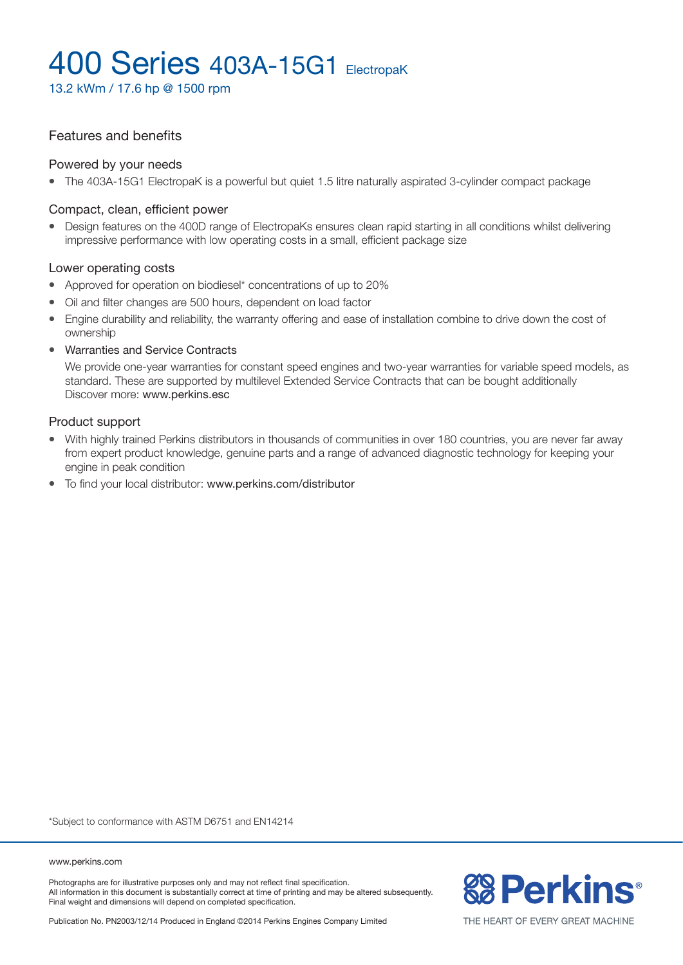13.2 kWm / 17.6 hp @ 1500 rpm

### Features and benefits

#### Powered by your needs

• The 403A-15G1 ElectropaK is a powerful but quiet 1.5 litre naturally aspirated 3-cylinder compact package

#### Compact, clean, efficient power

• Design features on the 400D range of ElectropaKs ensures clean rapid starting in all conditions whilst delivering impressive performance with low operating costs in a small, efficient package size

#### Lower operating costs

- Approved for operation on biodiesel\* concentrations of up to 20%
- Oil and filter changes are 500 hours, dependent on load factor
- Engine durability and reliability, the warranty offering and ease of installation combine to drive down the cost of ownership
- Warranties and Service Contracts

We provide one-year warranties for constant speed engines and two-year warranties for variable speed models, as standard. These are supported by multilevel Extended Service Contracts that can be bought additionally Discover more: www.perkins.esc

#### Product support

- With highly trained Perkins distributors in thousands of communities in over 180 countries, you are never far away from expert product knowledge, genuine parts and a range of advanced diagnostic technology for keeping your engine in peak condition
- To find your local distributor: www.perkins.com/distributor

\*Subject to conformance with ASTM D6751 and EN14214

www.perkins.com

Photographs are for illustrative purposes only and may not reflect final specification. All information in this document is substantially correct at time of printing and may be altered subsequently. Final weight and dimensions will depend on completed specification.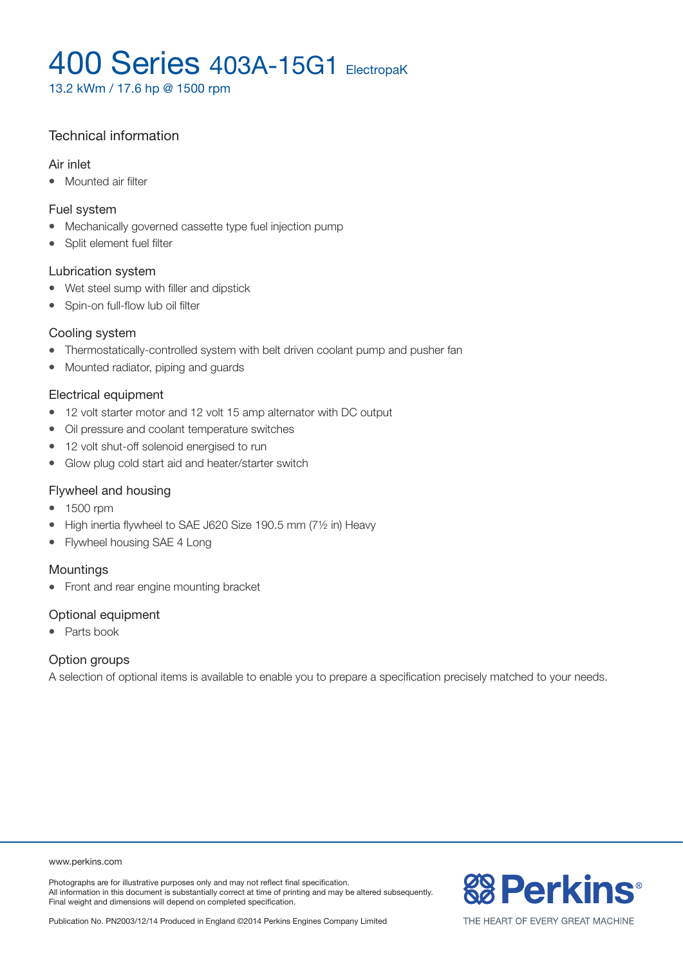13.2 kWm / 17.6 hp @ 1500 rpm

### Technical information

#### Air inlet

• Mounted air filter

#### Fuel system

- Mechanically governed cassette type fuel injection pump
- Split element fuel filter

#### Lubrication system

- Wet steel sump with filler and dipstick
- Spin-on full-flow lub oil filter

#### Cooling system

- Thermostatically-controlled system with belt driven coolant pump and pusher fan
- Mounted radiator, piping and guards

#### Electrical equipment

- 12 volt starter motor and 12 volt 15 amp alternator with DC output
- Oil pressure and coolant temperature switches
- 12 volt shut-off solenoid energised to run
- Glow plug cold start aid and heater/starter switch

#### Flywheel and housing

- 1500 rpm
- High inertia flywheel to SAE J620 Size 190.5 mm  $(7\frac{1}{2}$  in) Heavy
- Flywheel housing SAE 4 Long

#### Mountings

• Front and rear engine mounting bracket

#### Optional equipment

• Parts book

#### Option groups

A selection of optional items is available to enable you to prepare a specification precisely matched to your needs.

www.perkins.com

Photographs are for illustrative purposes only and may not reflect final specification. All information in this document is substantially correct at time of printing and may be altered subsequently. Final weight and dimensions will depend on completed specification.



Publication No. PN2003/12/14 Produced in England ©2014 Perkins Engines Company Limited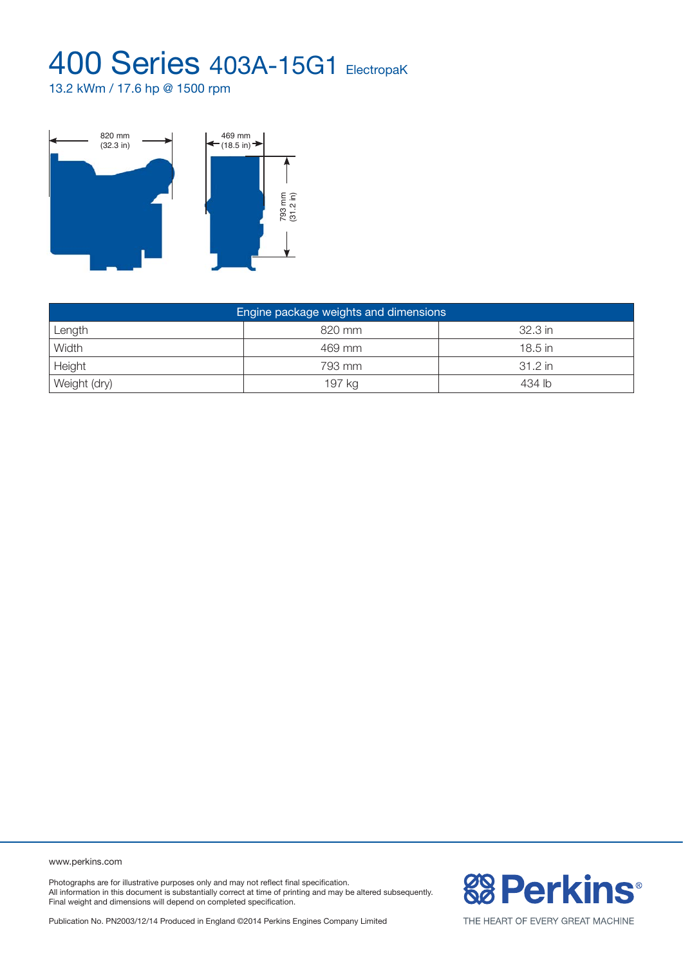13.2 kWm / 17.6 hp @ 1500 rpm



| Engine package weights and dimensions |        |           |  |  |  |  |
|---------------------------------------|--------|-----------|--|--|--|--|
| Length                                | 820 mm | 32.3 in   |  |  |  |  |
| Width                                 | 469 mm | $18.5$ in |  |  |  |  |
| Height                                | 793 mm | 31.2 in   |  |  |  |  |
| Weight (dry)                          | 197 kg | 434 lb    |  |  |  |  |

www.perkins.com

Photographs are for illustrative purposes only and may not reflect final specification. All information in this document is substantially correct at time of printing and may be altered subsequently. Final weight and dimensions will depend on completed specification.

Publication No. PN2003/12/14 Produced in England ©2014 Perkins Engines Company Limited